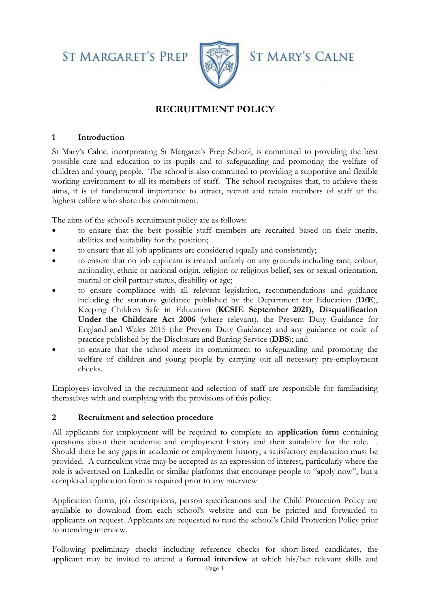**ST MARGARET'S PREP** 



**ST MARY'S CALNE** 

# **RECRUITMENT POLICY**

#### **1 Introduction**

St Mary's Calne, incorporating St Margaret's Prep School, is committed to providing the best possible care and education to its pupils and to safeguarding and promoting the welfare of children and young people. The school is also committed to providing a supportive and flexible working environment to all its members of staff. The school recognises that, to achieve these aims, it is of fundamental importance to attract, recruit and retain members of staff of the highest calibre who share this commitment.

The aims of the school's recruitment policy are as follows:

- to ensure that the best possible staff members are recruited based on their merits, abilities and suitability for the position;
- to ensure that all job applicants are considered equally and consistently;
- to ensure that no job applicant is treated unfairly on any grounds including race, colour, nationality, ethnic or national origin, religion or religious belief, sex or sexual orientation, marital or civil partner status, disability or age;
- to ensure compliance with all relevant legislation, recommendations and guidance including the statutory guidance published by the Department for Education (**DfE**), Keeping Children Safe in Education (**KCSIE September 2021), Disqualification Under the Childcare Act 2006** (where relevant), the Prevent Duty Guidance for England and Wales 2015 (the Prevent Duty Guidance) and any guidance or code of practice published by the Disclosure and Barring Service (**DBS**); and
- to ensure that the school meets its commitment to safeguarding and promoting the welfare of children and young people by carrying out all necessary pre-employment checks.

Employees involved in the recruitment and selection of staff are responsible for familiarising themselves with and complying with the provisions of this policy.

#### **2 Recruitment and selection procedure**

All applicants for employment will be required to complete an **application form** containing questions about their academic and employment history and their suitability for the role. . Should there be any gaps in academic or employment history, a satisfactory explanation must be provided. A curriculum vitae may be accepted as an expression of interest, particularly where the role is advertised on LinkedIn or similar platforms that encourage people to "apply now", but a completed application form is required prior to any interview

Application forms, job descriptions, person specifications and the Child Protection Policy are available to download from each school's website and can be printed and forwarded to applicants on request. Applicants are requested to read the school's Child Protection Policy prior to attending interview.

Following preliminary checks including reference checks for short-listed candidates, the applicant may be invited to attend a **formal interview** at which his/her relevant skills and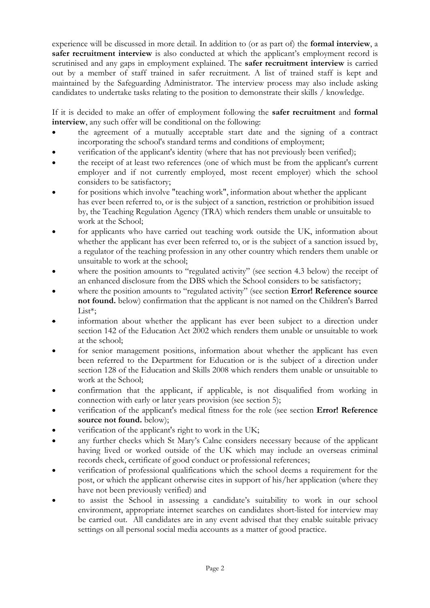experience will be discussed in more detail. In addition to (or as part of) the **formal interview**, a **safer recruitment interview** is also conducted at which the applicant's employment record is scrutinised and any gaps in employment explained. The **safer recruitment interview** is carried out by a member of staff trained in safer recruitment. A list of trained staff is kept and maintained by the Safeguarding Administrator. The interview process may also include asking candidates to undertake tasks relating to the position to demonstrate their skills / knowledge.

If it is decided to make an offer of employment following the **safer recruitment** and **formal interview**, any such offer will be conditional on the following:

- the agreement of a mutually acceptable start date and the signing of a contract incorporating the school's standard terms and conditions of employment;
- verification of the applicant's identity (where that has not previously been verified);
- the receipt of at least two references (one of which must be from the applicant's current employer and if not currently employed, most recent employer) which the school considers to be satisfactory;
- for positions which involve "teaching work", information about whether the applicant has ever been referred to, or is the subject of a sanction, restriction or prohibition issued by, the Teaching Regulation Agency (TRA) which renders them unable or unsuitable to work at the School;
- for applicants who have carried out teaching work outside the UK, information about whether the applicant has ever been referred to, or is the subject of a sanction issued by, a regulator of the teaching profession in any other country which renders them unable or unsuitable to work at the school;
- where the position amounts to "regulated activity" (see section 4.3 below) the receipt of an enhanced disclosure from the DBS which the School considers to be satisfactory;
- where the position amounts to "regulated activity" (see section **Error! Reference source not found.** below) confirmation that the applicant is not named on the Children's Barred List\*;
- information about whether the applicant has ever been subject to a direction under section 142 of the Education Act 2002 which renders them unable or unsuitable to work at the school;
- for senior management positions, information about whether the applicant has even been referred to the Department for Education or is the subject of a direction under section 128 of the Education and Skills 2008 which renders them unable or unsuitable to work at the School;
- confirmation that the applicant, if applicable, is not disqualified from working in connection with early or later years provision (see section 5);
- verification of the applicant's medical fitness for the role (see section **Error! Reference source not found.** below);
- verification of the applicant's right to work in the UK;
- any further checks which St Mary's Calne considers necessary because of the applicant having lived or worked outside of the UK which may include an overseas criminal records check, certificate of good conduct or professional references;
- verification of professional qualifications which the school deems a requirement for the post, or which the applicant otherwise cites in support of his/her application (where they have not been previously verified) and
- to assist the School in assessing a candidate's suitability to work in our school environment, appropriate internet searches on candidates short-listed for interview may be carried out. All candidates are in any event advised that they enable suitable privacy settings on all personal social media accounts as a matter of good practice.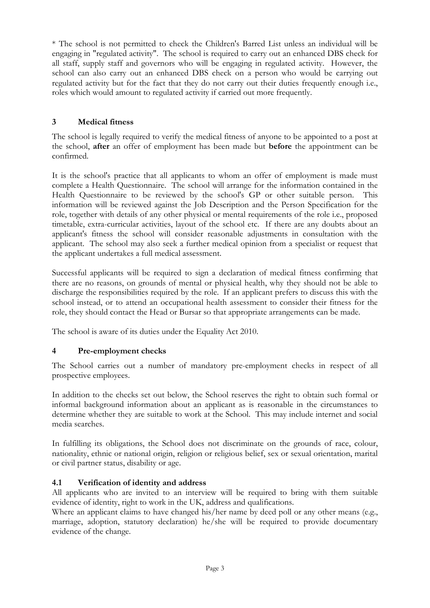\* The school is not permitted to check the Children's Barred List unless an individual will be engaging in "regulated activity". The school is required to carry out an enhanced DBS check for all staff, supply staff and governors who will be engaging in regulated activity. However, the school can also carry out an enhanced DBS check on a person who would be carrying out regulated activity but for the fact that they do not carry out their duties frequently enough i.e., roles which would amount to regulated activity if carried out more frequently.

## **3 Medical fitness**

The school is legally required to verify the medical fitness of anyone to be appointed to a post at the school, **after** an offer of employment has been made but **before** the appointment can be confirmed.

It is the school's practice that all applicants to whom an offer of employment is made must complete a Health Questionnaire. The school will arrange for the information contained in the Health Questionnaire to be reviewed by the school's GP or other suitable person. This information will be reviewed against the Job Description and the Person Specification for the role, together with details of any other physical or mental requirements of the role i.e., proposed timetable, extra-curricular activities, layout of the school etc. If there are any doubts about an applicant's fitness the school will consider reasonable adjustments in consultation with the applicant. The school may also seek a further medical opinion from a specialist or request that the applicant undertakes a full medical assessment.

Successful applicants will be required to sign a declaration of medical fitness confirming that there are no reasons, on grounds of mental or physical health, why they should not be able to discharge the responsibilities required by the role. If an applicant prefers to discuss this with the school instead, or to attend an occupational health assessment to consider their fitness for the role, they should contact the Head or Bursar so that appropriate arrangements can be made.

The school is aware of its duties under the Equality Act 2010.

#### **4 Pre-employment checks**

The School carries out a number of mandatory pre-employment checks in respect of all prospective employees.

In addition to the checks set out below, the School reserves the right to obtain such formal or informal background information about an applicant as is reasonable in the circumstances to determine whether they are suitable to work at the School. This may include internet and social media searches.

In fulfilling its obligations, the School does not discriminate on the grounds of race, colour, nationality, ethnic or national origin, religion or religious belief, sex or sexual orientation, marital or civil partner status, disability or age.

#### **4.1 Verification of identity and address**

All applicants who are invited to an interview will be required to bring with them suitable evidence of identity, right to work in the UK, address and qualifications.

Where an applicant claims to have changed his/her name by deed poll or any other means (e.g., marriage, adoption, statutory declaration) he/she will be required to provide documentary evidence of the change.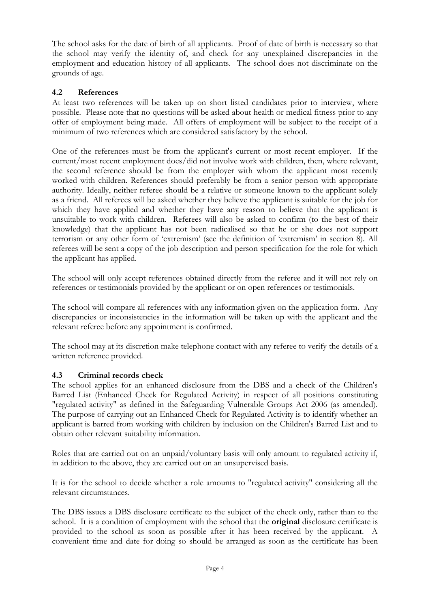The school asks for the date of birth of all applicants. Proof of date of birth is necessary so that the school may verify the identity of, and check for any unexplained discrepancies in the employment and education history of all applicants. The school does not discriminate on the grounds of age.

## **4.2 References**

At least two references will be taken up on short listed candidates prior to interview, where possible. Please note that no questions will be asked about health or medical fitness prior to any offer of employment being made. All offers of employment will be subject to the receipt of a minimum of two references which are considered satisfactory by the school.

One of the references must be from the applicant's current or most recent employer. If the current/most recent employment does/did not involve work with children, then, where relevant, the second reference should be from the employer with whom the applicant most recently worked with children. References should preferably be from a senior person with appropriate authority. Ideally, neither referee should be a relative or someone known to the applicant solely as a friend. All referees will be asked whether they believe the applicant is suitable for the job for which they have applied and whether they have any reason to believe that the applicant is unsuitable to work with children. Referees will also be asked to confirm (to the best of their knowledge) that the applicant has not been radicalised so that he or she does not support terrorism or any other form of 'extremism' (see the definition of 'extremism' in section 8). All referees will be sent a copy of the job description and person specification for the role for which the applicant has applied.

The school will only accept references obtained directly from the referee and it will not rely on references or testimonials provided by the applicant or on open references or testimonials.

The school will compare all references with any information given on the application form. Any discrepancies or inconsistencies in the information will be taken up with the applicant and the relevant referee before any appointment is confirmed.

The school may at its discretion make telephone contact with any referee to verify the details of a written reference provided.

#### **4.3 Criminal records check**

The school applies for an enhanced disclosure from the DBS and a check of the Children's Barred List (Enhanced Check for Regulated Activity) in respect of all positions constituting "regulated activity" as defined in the Safeguarding Vulnerable Groups Act 2006 (as amended). The purpose of carrying out an Enhanced Check for Regulated Activity is to identify whether an applicant is barred from working with children by inclusion on the Children's Barred List and to obtain other relevant suitability information.

Roles that are carried out on an unpaid/voluntary basis will only amount to regulated activity if, in addition to the above, they are carried out on an unsupervised basis.

It is for the school to decide whether a role amounts to "regulated activity" considering all the relevant circumstances.

The DBS issues a DBS disclosure certificate to the subject of the check only, rather than to the school. It is a condition of employment with the school that the **original** disclosure certificate is provided to the school as soon as possible after it has been received by the applicant. A convenient time and date for doing so should be arranged as soon as the certificate has been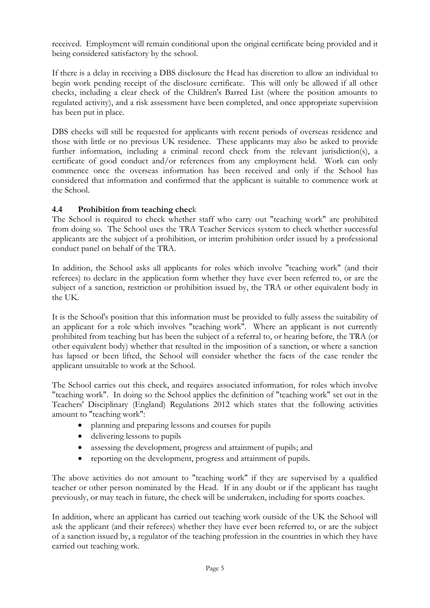received. Employment will remain conditional upon the original certificate being provided and it being considered satisfactory by the school.

If there is a delay in receiving a DBS disclosure the Head has discretion to allow an individual to begin work pending receipt of the disclosure certificate. This will only be allowed if all other checks, including a clear check of the Children's Barred List (where the position amounts to regulated activity), and a risk assessment have been completed, and once appropriate supervision has been put in place.

DBS checks will still be requested for applicants with recent periods of overseas residence and those with little or no previous UK residence. These applicants may also be asked to provide further information, including a criminal record check from the relevant jurisdiction(s), a certificate of good conduct and/or references from any employment held. Work can only commence once the overseas information has been received and only if the School has considered that information and confirmed that the applicant is suitable to commence work at the School.

#### **4.4 Prohibition from teaching chec**k

The School is required to check whether staff who carry out "teaching work" are prohibited from doing so. The School uses the TRA Teacher Services system to check whether successful applicants are the subject of a prohibition, or interim prohibition order issued by a professional conduct panel on behalf of the TRA.

In addition, the School asks all applicants for roles which involve "teaching work" (and their referees) to declare in the application form whether they have ever been referred to, or are the subject of a sanction, restriction or prohibition issued by, the TRA or other equivalent body in the UK.

It is the School's position that this information must be provided to fully assess the suitability of an applicant for a role which involves "teaching work". Where an applicant is not currently prohibited from teaching but has been the subject of a referral to, or hearing before, the TRA (or other equivalent body) whether that resulted in the imposition of a sanction, or where a sanction has lapsed or been lifted, the School will consider whether the facts of the case render the applicant unsuitable to work at the School.

The School carries out this check, and requires associated information, for roles which involve "teaching work". In doing so the School applies the definition of "teaching work" set out in the Teachers' Disciplinary (England) Regulations 2012 which states that the following activities amount to "teaching work":

- planning and preparing lessons and courses for pupils
- delivering lessons to pupils
- assessing the development, progress and attainment of pupils; and
- reporting on the development, progress and attainment of pupils.

The above activities do not amount to "teaching work" if they are supervised by a qualified teacher or other person nominated by the Head. If in any doubt or if the applicant has taught previously, or may teach in future, the check will be undertaken, including for sports coaches.

In addition, where an applicant has carried out teaching work outside of the UK the School will ask the applicant (and their referees) whether they have ever been referred to, or are the subject of a sanction issued by, a regulator of the teaching profession in the countries in which they have carried out teaching work.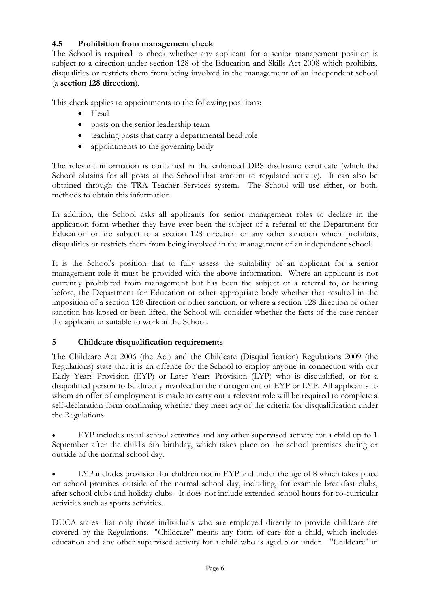## **4.5 Prohibition from management check**

The School is required to check whether any applicant for a senior management position is subject to a direction under section 128 of the Education and Skills Act 2008 which prohibits, disqualifies or restricts them from being involved in the management of an independent school (a **section 128 direction**).

This check applies to appointments to the following positions:

- Head
- posts on the senior leadership team
- teaching posts that carry a departmental head role
- appointments to the governing body

The relevant information is contained in the enhanced DBS disclosure certificate (which the School obtains for all posts at the School that amount to regulated activity). It can also be obtained through the TRA Teacher Services system. The School will use either, or both, methods to obtain this information.

In addition, the School asks all applicants for senior management roles to declare in the application form whether they have ever been the subject of a referral to the Department for Education or are subject to a section 128 direction or any other sanction which prohibits, disqualifies or restricts them from being involved in the management of an independent school.

It is the School's position that to fully assess the suitability of an applicant for a senior management role it must be provided with the above information. Where an applicant is not currently prohibited from management but has been the subject of a referral to, or hearing before, the Department for Education or other appropriate body whether that resulted in the imposition of a section 128 direction or other sanction, or where a section 128 direction or other sanction has lapsed or been lifted, the School will consider whether the facts of the case render the applicant unsuitable to work at the School.

#### **5 Childcare disqualification requirements**

The Childcare Act 2006 (the Act) and the Childcare (Disqualification) Regulations 2009 (the Regulations) state that it is an offence for the School to employ anyone in connection with our Early Years Provision (EYP) or Later Years Provision (LYP) who is disqualified, or for a disqualified person to be directly involved in the management of EYP or LYP. All applicants to whom an offer of employment is made to carry out a relevant role will be required to complete a self-declaration form confirming whether they meet any of the criteria for disqualification under the Regulations.

• EYP includes usual school activities and any other supervised activity for a child up to 1 September after the child's 5th birthday, which takes place on the school premises during or outside of the normal school day.

LYP includes provision for children not in EYP and under the age of 8 which takes place on school premises outside of the normal school day, including, for example breakfast clubs, after school clubs and holiday clubs. It does not include extended school hours for co-curricular activities such as sports activities.

DUCA states that only those individuals who are employed directly to provide childcare are covered by the Regulations. "Childcare" means any form of care for a child, which includes education and any other supervised activity for a child who is aged 5 or under. "Childcare" in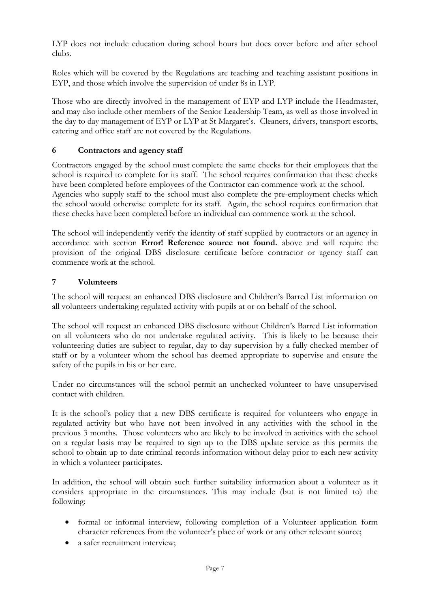LYP does not include education during school hours but does cover before and after school clubs.

Roles which will be covered by the Regulations are teaching and teaching assistant positions in EYP, and those which involve the supervision of under 8s in LYP.

Those who are directly involved in the management of EYP and LYP include the Headmaster, and may also include other members of the Senior Leadership Team, as well as those involved in the day to day management of EYP or LYP at St Margaret's. Cleaners, drivers, transport escorts, catering and office staff are not covered by the Regulations.

### **6 Contractors and agency staff**

Contractors engaged by the school must complete the same checks for their employees that the school is required to complete for its staff. The school requires confirmation that these checks have been completed before employees of the Contractor can commence work at the school. Agencies who supply staff to the school must also complete the pre-employment checks which the school would otherwise complete for its staff. Again, the school requires confirmation that these checks have been completed before an individual can commence work at the school.

The school will independently verify the identity of staff supplied by contractors or an agency in accordance with section **Error! Reference source not found.** above and will require the provision of the original DBS disclosure certificate before contractor or agency staff can commence work at the school.

#### **7 Volunteers**

The school will request an enhanced DBS disclosure and Children's Barred List information on all volunteers undertaking regulated activity with pupils at or on behalf of the school.

The school will request an enhanced DBS disclosure without Children's Barred List information on all volunteers who do not undertake regulated activity. This is likely to be because their volunteering duties are subject to regular, day to day supervision by a fully checked member of staff or by a volunteer whom the school has deemed appropriate to supervise and ensure the safety of the pupils in his or her care.

Under no circumstances will the school permit an unchecked volunteer to have unsupervised contact with children.

It is the school's policy that a new DBS certificate is required for volunteers who engage in regulated activity but who have not been involved in any activities with the school in the previous 3 months. Those volunteers who are likely to be involved in activities with the school on a regular basis may be required to sign up to the DBS update service as this permits the school to obtain up to date criminal records information without delay prior to each new activity in which a volunteer participates.

In addition, the school will obtain such further suitability information about a volunteer as it considers appropriate in the circumstances. This may include (but is not limited to) the following:

- formal or informal interview, following completion of a Volunteer application form character references from the volunteer's place of work or any other relevant source;
- a safer recruitment interview;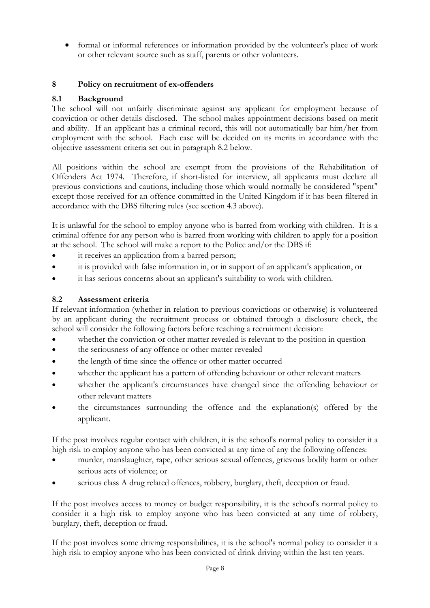• formal or informal references or information provided by the volunteer's place of work or other relevant source such as staff, parents or other volunteers.

## **8 Policy on recruitment of ex-offenders**

#### **8.1 Background**

The school will not unfairly discriminate against any applicant for employment because of conviction or other details disclosed. The school makes appointment decisions based on merit and ability. If an applicant has a criminal record, this will not automatically bar him/her from employment with the school. Each case will be decided on its merits in accordance with the objective assessment criteria set out in paragraph 8.2 below.

All positions within the school are exempt from the provisions of the Rehabilitation of Offenders Act 1974. Therefore, if short-listed for interview, all applicants must declare all previous convictions and cautions, including those which would normally be considered "spent" except those received for an offence committed in the United Kingdom if it has been filtered in accordance with the DBS filtering rules (see section 4.3 above).

It is unlawful for the school to employ anyone who is barred from working with children. It is a criminal offence for any person who is barred from working with children to apply for a position at the school. The school will make a report to the Police and/or the DBS if:

- it receives an application from a barred person;
- it is provided with false information in, or in support of an applicant's application, or
- it has serious concerns about an applicant's suitability to work with children.

#### **8.2 Assessment criteria**

If relevant information (whether in relation to previous convictions or otherwise) is volunteered by an applicant during the recruitment process or obtained through a disclosure check, the school will consider the following factors before reaching a recruitment decision:

- whether the conviction or other matter revealed is relevant to the position in question
- the seriousness of any offence or other matter revealed
- the length of time since the offence or other matter occurred
- whether the applicant has a pattern of offending behaviour or other relevant matters
- whether the applicant's circumstances have changed since the offending behaviour or other relevant matters
- the circumstances surrounding the offence and the explanation(s) offered by the applicant.

If the post involves regular contact with children, it is the school's normal policy to consider it a high risk to employ anyone who has been convicted at any time of any the following offences:

- murder, manslaughter, rape, other serious sexual offences, grievous bodily harm or other serious acts of violence; or
- serious class A drug related offences, robbery, burglary, theft, deception or fraud.

If the post involves access to money or budget responsibility, it is the school's normal policy to consider it a high risk to employ anyone who has been convicted at any time of robbery, burglary, theft, deception or fraud.

If the post involves some driving responsibilities, it is the school's normal policy to consider it a high risk to employ anyone who has been convicted of drink driving within the last ten years.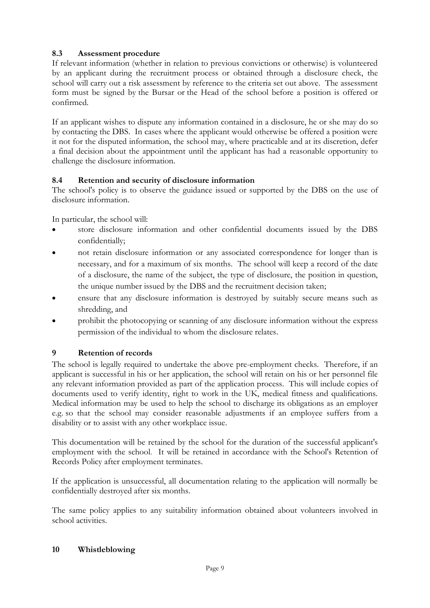## **8.3 Assessment procedure**

If relevant information (whether in relation to previous convictions or otherwise) is volunteered by an applicant during the recruitment process or obtained through a disclosure check, the school will carry out a risk assessment by reference to the criteria set out above. The assessment form must be signed by the Bursar or the Head of the school before a position is offered or confirmed.

If an applicant wishes to dispute any information contained in a disclosure, he or she may do so by contacting the DBS. In cases where the applicant would otherwise be offered a position were it not for the disputed information, the school may, where practicable and at its discretion, defer a final decision about the appointment until the applicant has had a reasonable opportunity to challenge the disclosure information.

## **8.4 Retention and security of disclosure information**

The school's policy is to observe the guidance issued or supported by the DBS on the use of disclosure information.

In particular, the school will:

- store disclosure information and other confidential documents issued by the DBS confidentially;
- not retain disclosure information or any associated correspondence for longer than is necessary, and for a maximum of six months. The school will keep a record of the date of a disclosure, the name of the subject, the type of disclosure, the position in question, the unique number issued by the DBS and the recruitment decision taken;
- ensure that any disclosure information is destroyed by suitably secure means such as shredding, and
- prohibit the photocopying or scanning of any disclosure information without the express permission of the individual to whom the disclosure relates.

## **9 Retention of records**

The school is legally required to undertake the above pre-employment checks. Therefore, if an applicant is successful in his or her application, the school will retain on his or her personnel file any relevant information provided as part of the application process. This will include copies of documents used to verify identity, right to work in the UK, medical fitness and qualifications. Medical information may be used to help the school to discharge its obligations as an employer e.g. so that the school may consider reasonable adjustments if an employee suffers from a disability or to assist with any other workplace issue.

This documentation will be retained by the school for the duration of the successful applicant's employment with the school. It will be retained in accordance with the School's Retention of Records Policy after employment terminates.

If the application is unsuccessful, all documentation relating to the application will normally be confidentially destroyed after six months.

The same policy applies to any suitability information obtained about volunteers involved in school activities.

#### **10 Whistleblowing**